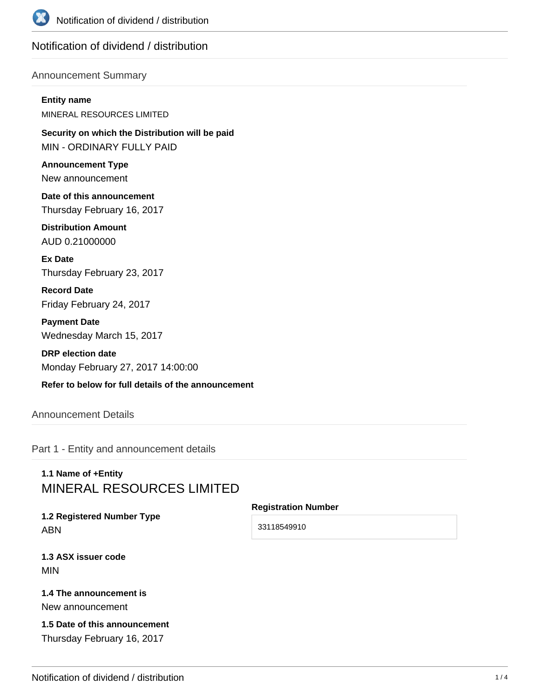

# Notification of dividend / distribution

### Announcement Summary

#### **Entity name**

MINERAL RESOURCES LIMITED

**Security on which the Distribution will be paid** MIN - ORDINARY FULLY PAID

**Announcement Type** New announcement

**Date of this announcement** Thursday February 16, 2017

**Distribution Amount** AUD 0.21000000

**Ex Date** Thursday February 23, 2017

**Record Date** Friday February 24, 2017

**Payment Date** Wednesday March 15, 2017

**DRP election date** Monday February 27, 2017 14:00:00

## **Refer to below for full details of the announcement**

## Announcement Details

Part 1 - Entity and announcement details

# **1.1 Name of +Entity** MINERAL RESOURCES LIMITED

**1.2 Registered Number Type** ABN

**Registration Number**

33118549910

**1.3 ASX issuer code** MIN

### **1.4 The announcement is** New announcement

## **1.5 Date of this announcement** Thursday February 16, 2017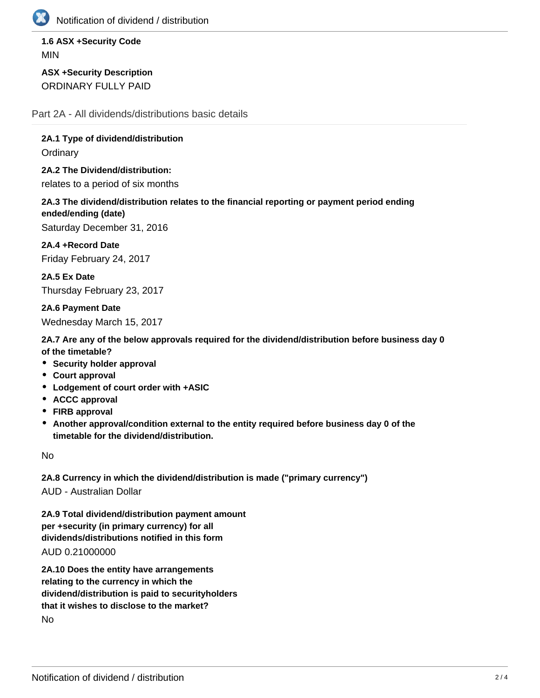

Notification of dividend / distribution

**1.6 ASX +Security Code** MIN

**ASX +Security Description** ORDINARY FULLY PAID

Part 2A - All dividends/distributions basic details

**2A.1 Type of dividend/distribution**

**Ordinary** 

**2A.2 The Dividend/distribution:** relates to a period of six months

**2A.3 The dividend/distribution relates to the financial reporting or payment period ending ended/ending (date)**

Saturday December 31, 2016

**2A.4 +Record Date** Friday February 24, 2017

**2A.5 Ex Date** Thursday February 23, 2017

**2A.6 Payment Date** Wednesday March 15, 2017

**2A.7 Are any of the below approvals required for the dividend/distribution before business day 0 of the timetable?**

- **Security holder approval**
- **Court approval**
- **Lodgement of court order with +ASIC**
- **ACCC approval**
- **FIRB approval**
- **Another approval/condition external to the entity required before business day 0 of the timetable for the dividend/distribution.**

No

**2A.8 Currency in which the dividend/distribution is made ("primary currency")** AUD - Australian Dollar

**2A.9 Total dividend/distribution payment amount per +security (in primary currency) for all dividends/distributions notified in this form** AUD 0.21000000

**2A.10 Does the entity have arrangements relating to the currency in which the dividend/distribution is paid to securityholders that it wishes to disclose to the market?** No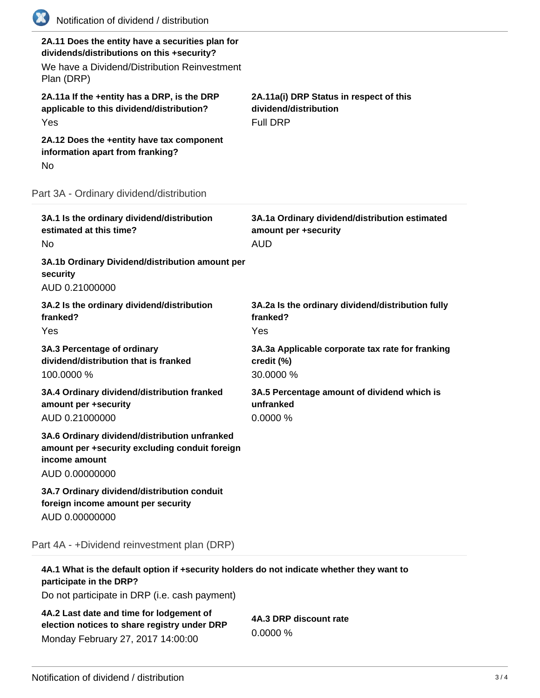| (XX)<br>Notification of dividend / distribution                                                                                                              |                                                                                      |
|--------------------------------------------------------------------------------------------------------------------------------------------------------------|--------------------------------------------------------------------------------------|
| 2A.11 Does the entity have a securities plan for<br>dividends/distributions on this +security?<br>We have a Dividend/Distribution Reinvestment<br>Plan (DRP) |                                                                                      |
| 2A.11a If the +entity has a DRP, is the DRP<br>applicable to this dividend/distribution?<br>Yes                                                              | 2A.11a(i) DRP Status in respect of this<br>dividend/distribution<br><b>Full DRP</b>  |
| 2A.12 Does the +entity have tax component<br>information apart from franking?<br>No                                                                          |                                                                                      |
| Part 3A - Ordinary dividend/distribution                                                                                                                     |                                                                                      |
| 3A.1 Is the ordinary dividend/distribution<br>estimated at this time?<br>No                                                                                  | 3A.1a Ordinary dividend/distribution estimated<br>amount per +security<br><b>AUD</b> |
| 3A.1b Ordinary Dividend/distribution amount per<br>security<br>AUD 0.21000000                                                                                |                                                                                      |
| 3A.2 Is the ordinary dividend/distribution<br>franked?<br>Yes                                                                                                | 3A.2a Is the ordinary dividend/distribution fully<br>franked?<br>Yes                 |
| 3A.3 Percentage of ordinary<br>dividend/distribution that is franked<br>100.0000 %                                                                           | 3A.3a Applicable corporate tax rate for franking<br>credit (%)<br>30.0000 %          |
| 3A.4 Ordinary dividend/distribution franked<br>amount per +security<br>AUD 0.21000000                                                                        | 3A.5 Percentage amount of dividend which is<br>unfranked<br>0.0000 %                 |
| 3A.6 Ordinary dividend/distribution unfranked<br>amount per +security excluding conduit foreign<br>income amount<br>AUD 0.00000000                           |                                                                                      |
| 3A.7 Ordinary dividend/distribution conduit<br>foreign income amount per security<br>AUD 0.00000000                                                          |                                                                                      |
| Part 4A - +Dividend reinvestment plan (DRP)                                                                                                                  |                                                                                      |
| 4A.1 What is the default option if +security holders do not indicate whether they want to<br>participate in the DRP?                                         |                                                                                      |

Do not participate in DRP (i.e. cash payment)

**4A.2 Last date and time for lodgement of election notices to share registry under DRP** Monday February 27, 2017 14:00:00

**4A.3 DRP discount rate** 0.0000 %